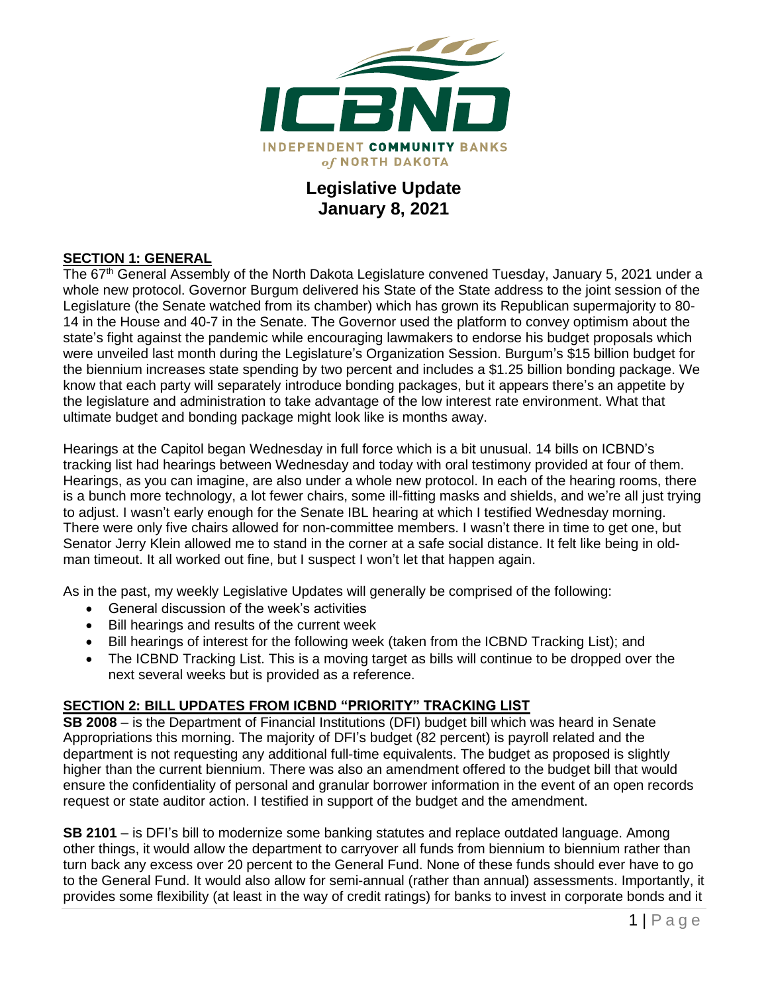

# **Legislative Update January 8, 2021**

### **SECTION 1: GENERAL**

The 67<sup>th</sup> General Assembly of the North Dakota Legislature convened Tuesday, January 5, 2021 under a whole new protocol. Governor Burgum delivered his State of the State address to the joint session of the Legislature (the Senate watched from its chamber) which has grown its Republican supermajority to 80- 14 in the House and 40-7 in the Senate. The Governor used the platform to convey optimism about the state's fight against the pandemic while encouraging lawmakers to endorse his budget proposals which were unveiled last month during the Legislature's Organization Session. Burgum's \$15 billion budget for the biennium increases state spending by two percent and includes a \$1.25 billion bonding package. We know that each party will separately introduce bonding packages, but it appears there's an appetite by the legislature and administration to take advantage of the low interest rate environment. What that ultimate budget and bonding package might look like is months away.

Hearings at the Capitol began Wednesday in full force which is a bit unusual. 14 bills on ICBND's tracking list had hearings between Wednesday and today with oral testimony provided at four of them. Hearings, as you can imagine, are also under a whole new protocol. In each of the hearing rooms, there is a bunch more technology, a lot fewer chairs, some ill-fitting masks and shields, and we're all just trying to adjust. I wasn't early enough for the Senate IBL hearing at which I testified Wednesday morning. There were only five chairs allowed for non-committee members. I wasn't there in time to get one, but Senator Jerry Klein allowed me to stand in the corner at a safe social distance. It felt like being in oldman timeout. It all worked out fine, but I suspect I won't let that happen again.

As in the past, my weekly Legislative Updates will generally be comprised of the following:

- General discussion of the week's activities
- Bill hearings and results of the current week
- Bill hearings of interest for the following week (taken from the ICBND Tracking List); and
- The ICBND Tracking List. This is a moving target as bills will continue to be dropped over the next several weeks but is provided as a reference.

#### **SECTION 2: BILL UPDATES FROM ICBND "PRIORITY" TRACKING LIST**

**SB 2008** – is the Department of Financial Institutions (DFI) budget bill which was heard in Senate Appropriations this morning. The majority of DFI's budget (82 percent) is payroll related and the department is not requesting any additional full-time equivalents. The budget as proposed is slightly higher than the current biennium. There was also an amendment offered to the budget bill that would ensure the confidentiality of personal and granular borrower information in the event of an open records request or state auditor action. I testified in support of the budget and the amendment.

**SB 2101** – is DFI's bill to modernize some banking statutes and replace outdated language. Among other things, it would allow the department to carryover all funds from biennium to biennium rather than turn back any excess over 20 percent to the General Fund. None of these funds should ever have to go to the General Fund. It would also allow for semi-annual (rather than annual) assessments. Importantly, it provides some flexibility (at least in the way of credit ratings) for banks to invest in corporate bonds and it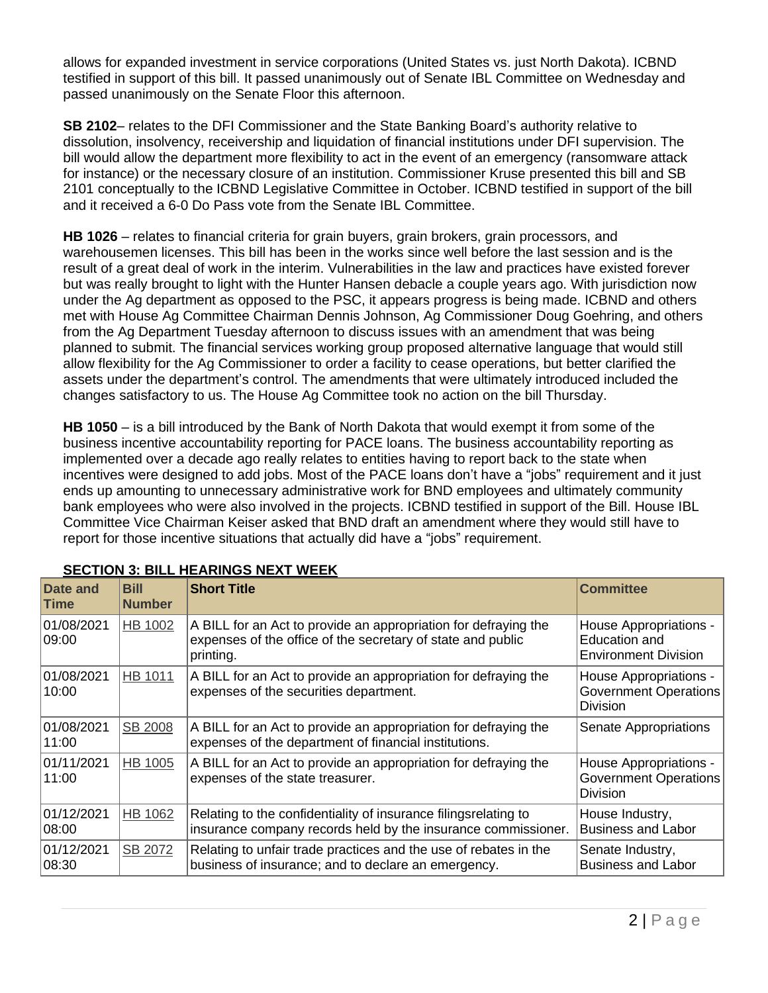allows for expanded investment in service corporations (United States vs. just North Dakota). ICBND testified in support of this bill. It passed unanimously out of Senate IBL Committee on Wednesday and passed unanimously on the Senate Floor this afternoon.

**SB 2102**– relates to the DFI Commissioner and the State Banking Board's authority relative to dissolution, insolvency, receivership and liquidation of financial institutions under DFI supervision. The bill would allow the department more flexibility to act in the event of an emergency (ransomware attack for instance) or the necessary closure of an institution. Commissioner Kruse presented this bill and SB 2101 conceptually to the ICBND Legislative Committee in October. ICBND testified in support of the bill and it received a 6-0 Do Pass vote from the Senate IBL Committee.

**HB 1026** – relates to financial criteria for grain buyers, grain brokers, grain processors, and warehousemen licenses. This bill has been in the works since well before the last session and is the result of a great deal of work in the interim. Vulnerabilities in the law and practices have existed forever but was really brought to light with the Hunter Hansen debacle a couple years ago. With jurisdiction now under the Ag department as opposed to the PSC, it appears progress is being made. ICBND and others met with House Ag Committee Chairman Dennis Johnson, Ag Commissioner Doug Goehring, and others from the Ag Department Tuesday afternoon to discuss issues with an amendment that was being planned to submit. The financial services working group proposed alternative language that would still allow flexibility for the Ag Commissioner to order a facility to cease operations, but better clarified the assets under the department's control. The amendments that were ultimately introduced included the changes satisfactory to us. The House Ag Committee took no action on the bill Thursday.

**HB 1050** – is a bill introduced by the Bank of North Dakota that would exempt it from some of the business incentive accountability reporting for PACE loans. The business accountability reporting as implemented over a decade ago really relates to entities having to report back to the state when incentives were designed to add jobs. Most of the PACE loans don't have a "jobs" requirement and it just ends up amounting to unnecessary administrative work for BND employees and ultimately community bank employees who were also involved in the projects. ICBND testified in support of the Bill. House IBL Committee Vice Chairman Keiser asked that BND draft an amendment where they would still have to report for those incentive situations that actually did have a "jobs" requirement.

| <b>Date and</b><br>Time | <b>Bill</b><br><b>Number</b> | <b>Short Title</b>                                                                                                                          | <b>Committee</b>                                                       |
|-------------------------|------------------------------|---------------------------------------------------------------------------------------------------------------------------------------------|------------------------------------------------------------------------|
| 01/08/2021<br>09:00     | HB 1002                      | A BILL for an Act to provide an appropriation for defraying the<br>expenses of the office of the secretary of state and public<br>printing. | House Appropriations -<br>Education and<br><b>Environment Division</b> |
| 01/08/2021<br>10:00     | HB 1011                      | A BILL for an Act to provide an appropriation for defraying the<br>expenses of the securities department.                                   | House Appropriations -<br><b>Government Operations</b><br>Division     |
| 01/08/2021<br>11:00     | <b>SB 2008</b>               | A BILL for an Act to provide an appropriation for defraying the<br>expenses of the department of financial institutions.                    | Senate Appropriations                                                  |
| 01/11/2021<br>11:00     | HB 1005                      | A BILL for an Act to provide an appropriation for defraying the<br>expenses of the state treasurer.                                         | House Appropriations -<br><b>Government Operations</b><br>Division     |
| 01/12/2021<br> 08:00    | HB 1062                      | Relating to the confidentiality of insurance filingsrelating to<br>insurance company records held by the insurance commissioner.            | House Industry,<br><b>Business and Labor</b>                           |
| 01/12/2021<br>08:30     | SB 2072                      | Relating to unfair trade practices and the use of rebates in the<br>business of insurance; and to declare an emergency.                     | Senate Industry,<br><b>Business and Labor</b>                          |

## **SECTION 3: BILL HEARINGS NEXT WEEK**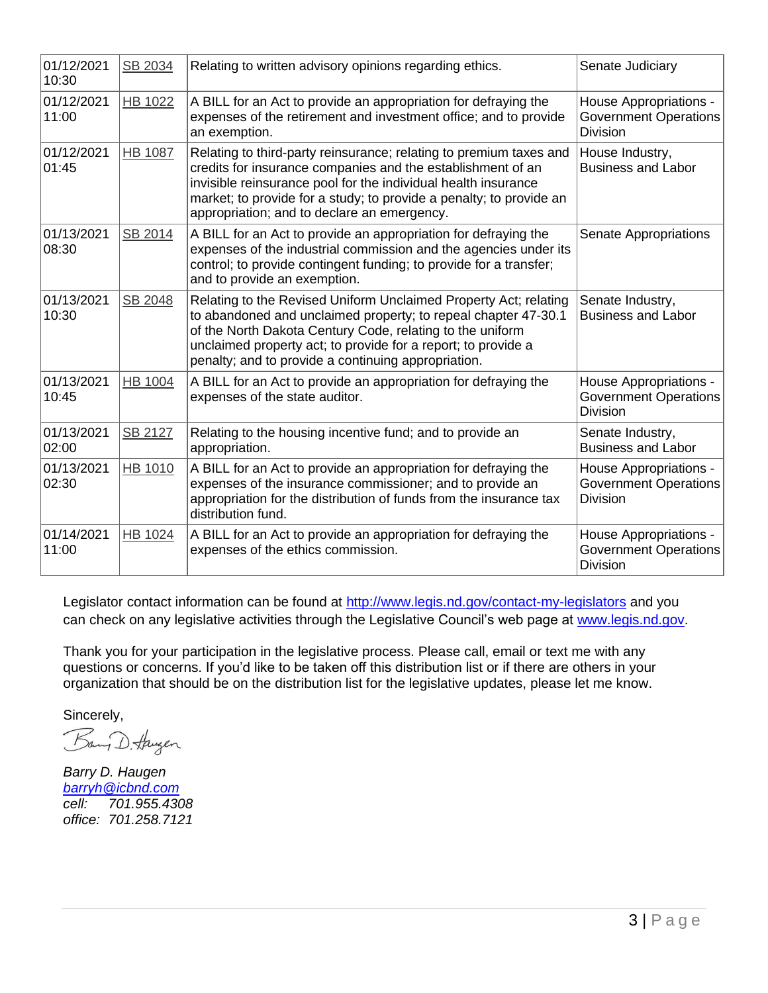| 01/12/2021<br>10:30 | SB 2034        | Relating to written advisory opinions regarding ethics.                                                                                                                                                                                                                                                                   | Senate Judiciary                                                          |
|---------------------|----------------|---------------------------------------------------------------------------------------------------------------------------------------------------------------------------------------------------------------------------------------------------------------------------------------------------------------------------|---------------------------------------------------------------------------|
| 01/12/2021<br>11:00 | <b>HB 1022</b> | A BILL for an Act to provide an appropriation for defraying the<br>expenses of the retirement and investment office; and to provide<br>an exemption.                                                                                                                                                                      | House Appropriations -<br><b>Government Operations</b><br><b>Division</b> |
| 01/12/2021<br>01:45 | <b>HB 1087</b> | Relating to third-party reinsurance; relating to premium taxes and<br>credits for insurance companies and the establishment of an<br>invisible reinsurance pool for the individual health insurance<br>market; to provide for a study; to provide a penalty; to provide an<br>appropriation; and to declare an emergency. | House Industry,<br><b>Business and Labor</b>                              |
| 01/13/2021<br>08:30 | SB 2014        | A BILL for an Act to provide an appropriation for defraying the<br>expenses of the industrial commission and the agencies under its<br>control; to provide contingent funding; to provide for a transfer;<br>and to provide an exemption.                                                                                 | <b>Senate Appropriations</b>                                              |
| 01/13/2021<br>10:30 | SB 2048        | Relating to the Revised Uniform Unclaimed Property Act; relating<br>to abandoned and unclaimed property; to repeal chapter 47-30.1<br>of the North Dakota Century Code, relating to the uniform<br>unclaimed property act; to provide for a report; to provide a<br>penalty; and to provide a continuing appropriation.   | Senate Industry,<br><b>Business and Labor</b>                             |
| 01/13/2021<br>10:45 | <b>HB 1004</b> | A BILL for an Act to provide an appropriation for defraying the<br>expenses of the state auditor.                                                                                                                                                                                                                         | House Appropriations -<br><b>Government Operations</b><br>Division        |
| 01/13/2021<br>02:00 | SB 2127        | Relating to the housing incentive fund; and to provide an<br>appropriation.                                                                                                                                                                                                                                               | Senate Industry,<br><b>Business and Labor</b>                             |
| 01/13/2021<br>02:30 | HB 1010        | A BILL for an Act to provide an appropriation for defraying the<br>expenses of the insurance commissioner; and to provide an<br>appropriation for the distribution of funds from the insurance tax<br>distribution fund.                                                                                                  | House Appropriations -<br><b>Government Operations</b><br><b>Division</b> |
| 01/14/2021<br>11:00 | HB 1024        | A BILL for an Act to provide an appropriation for defraying the<br>expenses of the ethics commission.                                                                                                                                                                                                                     | House Appropriations -<br><b>Government Operations</b><br><b>Division</b> |

Legislator contact information can be found at<http://www.legis.nd.gov/contact-my-legislators> and you can check on any legislative activities through the Legislative Council's web page at [www.legis.nd.gov.](http://www.legis.nd.gov/)

Thank you for your participation in the legislative process. Please call, email or text me with any questions or concerns. If you'd like to be taken off this distribution list or if there are others in your organization that should be on the distribution list for the legislative updates, please let me know.

Sincerely,

Bang D. Haugen

*Barry D. Haugen [barryh@icbnd.com](mailto:barryh@icbnd.com) cell: 701.955.4308 office: 701.258.7121*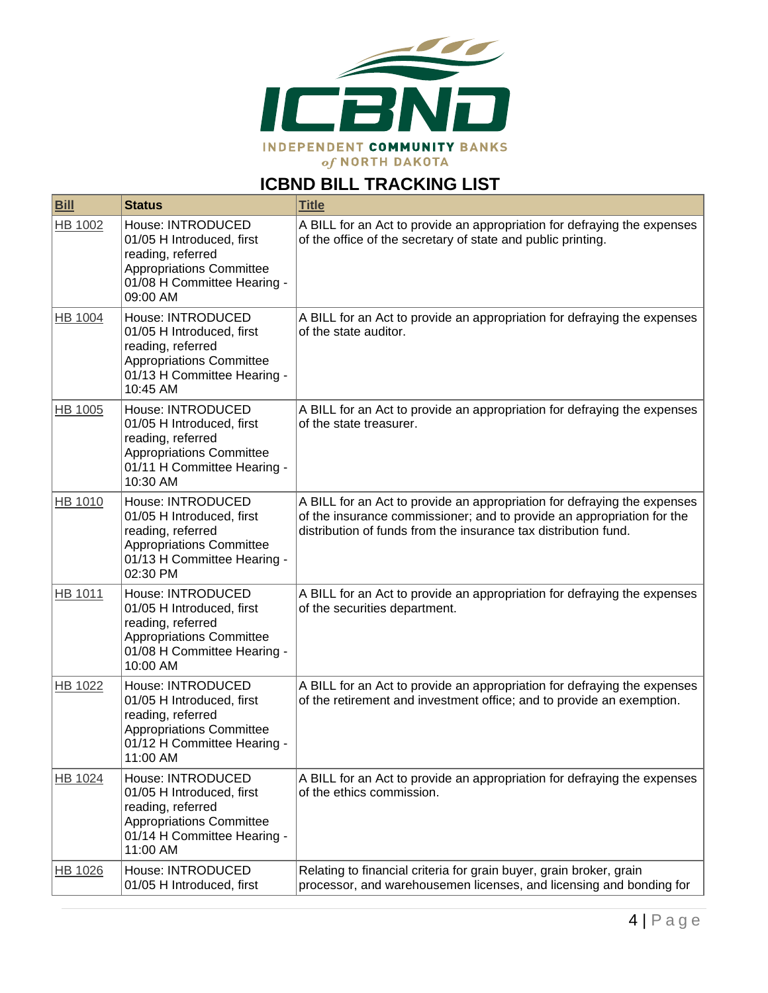

# **ICBND BILL TRACKING LIST**

| <b>Bill</b>    | <b>Status</b>                                                                                                                                     | <b>Title</b>                                                                                                                                                                                                          |
|----------------|---------------------------------------------------------------------------------------------------------------------------------------------------|-----------------------------------------------------------------------------------------------------------------------------------------------------------------------------------------------------------------------|
| HB 1002        | House: INTRODUCED<br>01/05 H Introduced, first<br>reading, referred<br>Appropriations Committee<br>01/08 H Committee Hearing -<br>09:00 AM        | A BILL for an Act to provide an appropriation for defraying the expenses<br>of the office of the secretary of state and public printing.                                                                              |
| <b>HB 1004</b> | House: INTRODUCED<br>01/05 H Introduced, first<br>reading, referred<br><b>Appropriations Committee</b><br>01/13 H Committee Hearing -<br>10:45 AM | A BILL for an Act to provide an appropriation for defraying the expenses<br>of the state auditor.                                                                                                                     |
| HB 1005        | House: INTRODUCED<br>01/05 H Introduced, first<br>reading, referred<br>Appropriations Committee<br>01/11 H Committee Hearing -<br>10:30 AM        | A BILL for an Act to provide an appropriation for defraying the expenses<br>of the state treasurer.                                                                                                                   |
| HB 1010        | House: INTRODUCED<br>01/05 H Introduced, first<br>reading, referred<br>Appropriations Committee<br>01/13 H Committee Hearing -<br>02:30 PM        | A BILL for an Act to provide an appropriation for defraying the expenses<br>of the insurance commissioner; and to provide an appropriation for the<br>distribution of funds from the insurance tax distribution fund. |
| HB 1011        | House: INTRODUCED<br>01/05 H Introduced, first<br>reading, referred<br>Appropriations Committee<br>01/08 H Committee Hearing -<br>10:00 AM        | A BILL for an Act to provide an appropriation for defraying the expenses<br>of the securities department.                                                                                                             |
| HB 1022        | House: INTRODUCED<br>01/05 H Introduced, first<br>reading, referred<br><b>Appropriations Committee</b><br>01/12 H Committee Hearing -<br>11:00 AM | A BILL for an Act to provide an appropriation for defraying the expenses<br>of the retirement and investment office; and to provide an exemption.                                                                     |
| HB 1024        | House: INTRODUCED<br>01/05 H Introduced, first<br>reading, referred<br>Appropriations Committee<br>01/14 H Committee Hearing -<br>11:00 AM        | A BILL for an Act to provide an appropriation for defraying the expenses<br>of the ethics commission.                                                                                                                 |
| HB 1026        | House: INTRODUCED<br>01/05 H Introduced, first                                                                                                    | Relating to financial criteria for grain buyer, grain broker, grain<br>processor, and warehousemen licenses, and licensing and bonding for                                                                            |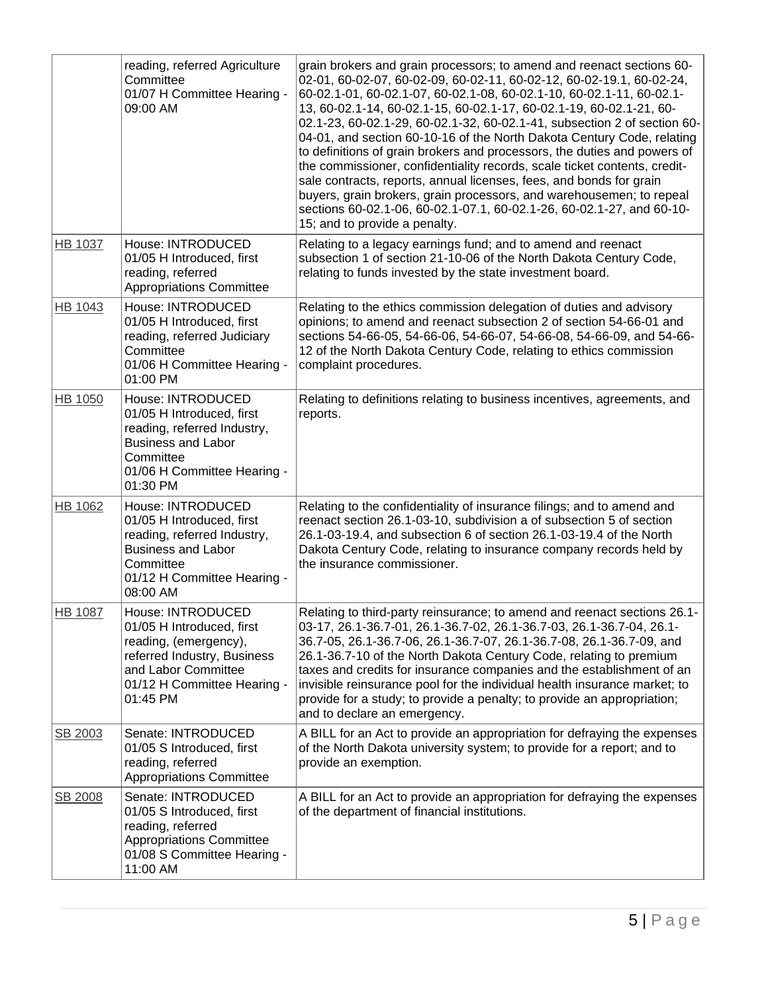|                | reading, referred Agriculture<br>Committee<br>01/07 H Committee Hearing -<br>09:00 AM                                                                                    | grain brokers and grain processors; to amend and reenact sections 60-<br>02-01, 60-02-07, 60-02-09, 60-02-11, 60-02-12, 60-02-19.1, 60-02-24,<br>60-02.1-01, 60-02.1-07, 60-02.1-08, 60-02.1-10, 60-02.1-11, 60-02.1-<br>13, 60-02.1-14, 60-02.1-15, 60-02.1-17, 60-02.1-19, 60-02.1-21, 60-<br>02.1-23, 60-02.1-29, 60-02.1-32, 60-02.1-41, subsection 2 of section 60-<br>04-01, and section 60-10-16 of the North Dakota Century Code, relating<br>to definitions of grain brokers and processors, the duties and powers of<br>the commissioner, confidentiality records, scale ticket contents, credit-<br>sale contracts, reports, annual licenses, fees, and bonds for grain<br>buyers, grain brokers, grain processors, and warehousemen; to repeal<br>sections 60-02.1-06, 60-02.1-07.1, 60-02.1-26, 60-02.1-27, and 60-10-<br>15; and to provide a penalty. |
|----------------|--------------------------------------------------------------------------------------------------------------------------------------------------------------------------|----------------------------------------------------------------------------------------------------------------------------------------------------------------------------------------------------------------------------------------------------------------------------------------------------------------------------------------------------------------------------------------------------------------------------------------------------------------------------------------------------------------------------------------------------------------------------------------------------------------------------------------------------------------------------------------------------------------------------------------------------------------------------------------------------------------------------------------------------------------------|
| HB 1037        | House: INTRODUCED<br>01/05 H Introduced, first<br>reading, referred<br>Appropriations Committee                                                                          | Relating to a legacy earnings fund; and to amend and reenact<br>subsection 1 of section 21-10-06 of the North Dakota Century Code,<br>relating to funds invested by the state investment board.                                                                                                                                                                                                                                                                                                                                                                                                                                                                                                                                                                                                                                                                      |
| HB 1043        | House: INTRODUCED<br>01/05 H Introduced, first<br>reading, referred Judiciary<br>Committee<br>01/06 H Committee Hearing -<br>01:00 PM                                    | Relating to the ethics commission delegation of duties and advisory<br>opinions; to amend and reenact subsection 2 of section 54-66-01 and<br>sections 54-66-05, 54-66-06, 54-66-07, 54-66-08, 54-66-09, and 54-66-<br>12 of the North Dakota Century Code, relating to ethics commission<br>complaint procedures.                                                                                                                                                                                                                                                                                                                                                                                                                                                                                                                                                   |
| HB 1050        | House: INTRODUCED<br>01/05 H Introduced, first<br>reading, referred Industry,<br><b>Business and Labor</b><br>Committee<br>01/06 H Committee Hearing -<br>01:30 PM       | Relating to definitions relating to business incentives, agreements, and<br>reports.                                                                                                                                                                                                                                                                                                                                                                                                                                                                                                                                                                                                                                                                                                                                                                                 |
| HB 1062        | House: INTRODUCED<br>01/05 H Introduced, first<br>reading, referred Industry,<br><b>Business and Labor</b><br>Committee<br>01/12 H Committee Hearing -<br>08:00 AM       | Relating to the confidentiality of insurance filings; and to amend and<br>reenact section 26.1-03-10, subdivision a of subsection 5 of section<br>26.1-03-19.4, and subsection 6 of section 26.1-03-19.4 of the North<br>Dakota Century Code, relating to insurance company records held by<br>the insurance commissioner.                                                                                                                                                                                                                                                                                                                                                                                                                                                                                                                                           |
| <b>HB 1087</b> | House: INTRODUCED<br>01/05 H Introduced, first<br>reading, (emergency),<br>referred Industry, Business<br>and Labor Committee<br>01/12 H Committee Hearing -<br>01:45 PM | Relating to third-party reinsurance; to amend and reenact sections 26.1-<br>03-17, 26.1-36.7-01, 26.1-36.7-02, 26.1-36.7-03, 26.1-36.7-04, 26.1-<br>36.7-05, 26.1-36.7-06, 26.1-36.7-07, 26.1-36.7-08, 26.1-36.7-09, and<br>26.1-36.7-10 of the North Dakota Century Code, relating to premium<br>taxes and credits for insurance companies and the establishment of an<br>invisible reinsurance pool for the individual health insurance market; to<br>provide for a study; to provide a penalty; to provide an appropriation;<br>and to declare an emergency.                                                                                                                                                                                                                                                                                                      |
| SB 2003        | Senate: INTRODUCED<br>01/05 S Introduced, first<br>reading, referred<br><b>Appropriations Committee</b>                                                                  | A BILL for an Act to provide an appropriation for defraying the expenses<br>of the North Dakota university system; to provide for a report; and to<br>provide an exemption.                                                                                                                                                                                                                                                                                                                                                                                                                                                                                                                                                                                                                                                                                          |
| SB 2008        | Senate: INTRODUCED<br>01/05 S Introduced, first<br>reading, referred<br>Appropriations Committee<br>01/08 S Committee Hearing -<br>11:00 AM                              | A BILL for an Act to provide an appropriation for defraying the expenses<br>of the department of financial institutions.                                                                                                                                                                                                                                                                                                                                                                                                                                                                                                                                                                                                                                                                                                                                             |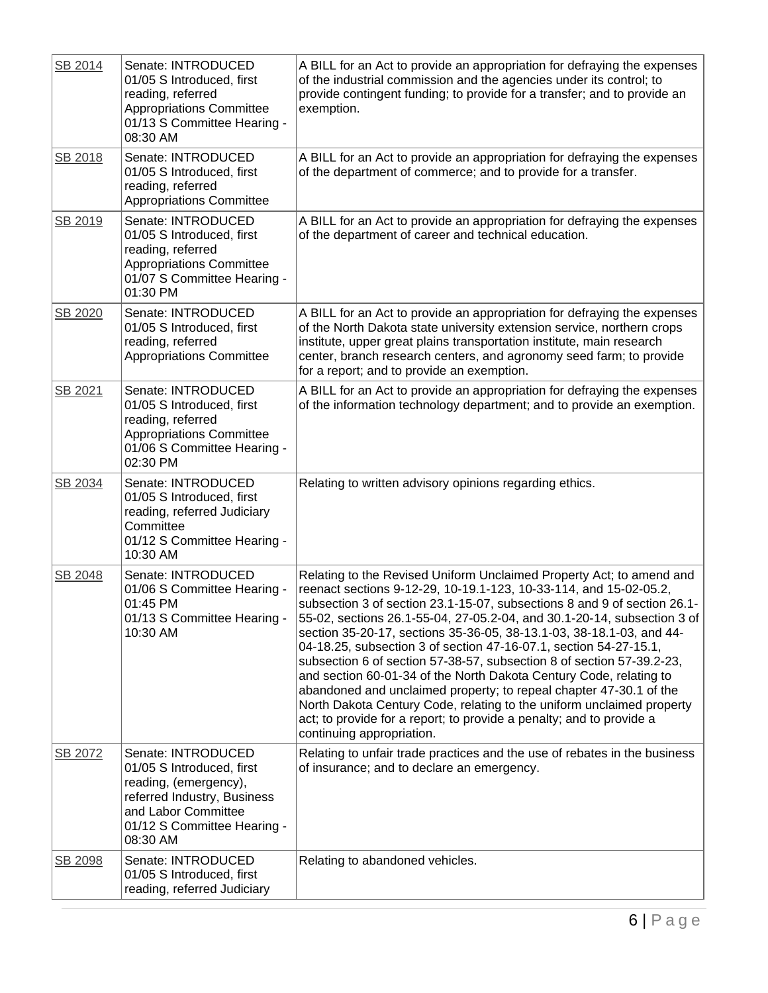| SB 2014 | Senate: INTRODUCED<br>01/05 S Introduced, first<br>reading, referred<br><b>Appropriations Committee</b><br>01/13 S Committee Hearing -<br>08:30 AM                        | A BILL for an Act to provide an appropriation for defraying the expenses<br>of the industrial commission and the agencies under its control; to<br>provide contingent funding; to provide for a transfer; and to provide an<br>exemption.                                                                                                                                                                                                                                                                                                                                                                                                                                                                                                                                                                                                        |
|---------|---------------------------------------------------------------------------------------------------------------------------------------------------------------------------|--------------------------------------------------------------------------------------------------------------------------------------------------------------------------------------------------------------------------------------------------------------------------------------------------------------------------------------------------------------------------------------------------------------------------------------------------------------------------------------------------------------------------------------------------------------------------------------------------------------------------------------------------------------------------------------------------------------------------------------------------------------------------------------------------------------------------------------------------|
| SB 2018 | Senate: INTRODUCED<br>01/05 S Introduced, first<br>reading, referred<br><b>Appropriations Committee</b>                                                                   | A BILL for an Act to provide an appropriation for defraying the expenses<br>of the department of commerce; and to provide for a transfer.                                                                                                                                                                                                                                                                                                                                                                                                                                                                                                                                                                                                                                                                                                        |
| SB 2019 | Senate: INTRODUCED<br>01/05 S Introduced, first<br>reading, referred<br><b>Appropriations Committee</b><br>01/07 S Committee Hearing -<br>01:30 PM                        | A BILL for an Act to provide an appropriation for defraying the expenses<br>of the department of career and technical education.                                                                                                                                                                                                                                                                                                                                                                                                                                                                                                                                                                                                                                                                                                                 |
| SB 2020 | Senate: INTRODUCED<br>01/05 S Introduced, first<br>reading, referred<br><b>Appropriations Committee</b>                                                                   | A BILL for an Act to provide an appropriation for defraying the expenses<br>of the North Dakota state university extension service, northern crops<br>institute, upper great plains transportation institute, main research<br>center, branch research centers, and agronomy seed farm; to provide<br>for a report; and to provide an exemption.                                                                                                                                                                                                                                                                                                                                                                                                                                                                                                 |
| SB 2021 | Senate: INTRODUCED<br>01/05 S Introduced, first<br>reading, referred<br><b>Appropriations Committee</b><br>01/06 S Committee Hearing -<br>02:30 PM                        | A BILL for an Act to provide an appropriation for defraying the expenses<br>of the information technology department; and to provide an exemption.                                                                                                                                                                                                                                                                                                                                                                                                                                                                                                                                                                                                                                                                                               |
| SB 2034 | Senate: INTRODUCED<br>01/05 S Introduced, first<br>reading, referred Judiciary<br>Committee<br>01/12 S Committee Hearing -<br>10:30 AM                                    | Relating to written advisory opinions regarding ethics.                                                                                                                                                                                                                                                                                                                                                                                                                                                                                                                                                                                                                                                                                                                                                                                          |
| SB 2048 | Senate: INTRODUCED<br>01/06 S Committee Hearing -<br>01:45 PM<br>01/13 S Committee Hearing -<br>10:30 AM                                                                  | Relating to the Revised Uniform Unclaimed Property Act; to amend and<br>reenact sections 9-12-29, 10-19.1-123, 10-33-114, and 15-02-05.2,<br>subsection 3 of section 23.1-15-07, subsections 8 and 9 of section 26.1-<br>55-02, sections 26.1-55-04, 27-05.2-04, and 30.1-20-14, subsection 3 of<br>section 35-20-17, sections 35-36-05, 38-13.1-03, 38-18.1-03, and 44-<br>04-18.25, subsection 3 of section 47-16-07.1, section 54-27-15.1,<br>subsection 6 of section 57-38-57, subsection 8 of section 57-39.2-23,<br>and section 60-01-34 of the North Dakota Century Code, relating to<br>abandoned and unclaimed property; to repeal chapter 47-30.1 of the<br>North Dakota Century Code, relating to the uniform unclaimed property<br>act; to provide for a report; to provide a penalty; and to provide a<br>continuing appropriation. |
| SB 2072 | Senate: INTRODUCED<br>01/05 S Introduced, first<br>reading, (emergency),<br>referred Industry, Business<br>and Labor Committee<br>01/12 S Committee Hearing -<br>08:30 AM | Relating to unfair trade practices and the use of rebates in the business<br>of insurance; and to declare an emergency.                                                                                                                                                                                                                                                                                                                                                                                                                                                                                                                                                                                                                                                                                                                          |
| SB 2098 | Senate: INTRODUCED<br>01/05 S Introduced, first<br>reading, referred Judiciary                                                                                            | Relating to abandoned vehicles.                                                                                                                                                                                                                                                                                                                                                                                                                                                                                                                                                                                                                                                                                                                                                                                                                  |